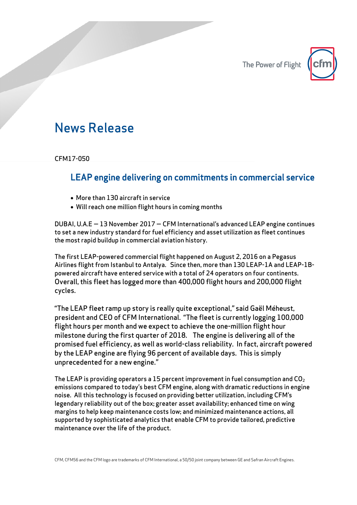The Power of Flight



## News Release

CFM17-050

## LEAP engine delivering on commitments in commercial service

- More than 130 aircraft in service
- Will reach one million flight hours in coming months

DUBAI, U.A.E — 13 November 2017 — CFM International's advanced LEAP engine continues to set a new industry standard for fuel efficiency and asset utilization as fleet continues the most rapid buildup in commercial aviation history.

The first LEAP-powered commercial flight happened on August 2, 2016 on a Pegasus Airlines flight from Istanbul to Antalya. Since then, more than 130 LEAP-1A and LEAP-1Bpowered aircraft have entered service with a total of 24 operators on four continents. Overall, this fleet has logged more than 400,000 flight hours and 200,000 flight cycles.

"The LEAP fleet ramp up story is really quite exceptional," said Gaël Méheust, president and CEO of CFM International. "The fleet is currently logging 100,000 flight hours per month and we expect to achieve the one-million flight hour milestone during the first quarter of 2018. The engine is delivering all of the promised fuel efficiency, as well as world-class reliability. In fact, aircraft powered by the LEAP engine are flying 96 percent of available days. This is simply unprecedented for a new engine."

The LEAP is providing operators a 15 percent improvement in fuel consumption and  $CO<sub>2</sub>$ emissions compared to today's best CFM engine, along with dramatic reductions in engine noise. All this technology is focused on providing better utilization, including CFM's legendary reliability out of the box; greater asset availability; enhanced time on wing margins to help keep maintenance costs low; and minimized maintenance actions, all supported by sophisticated analytics that enable CFM to provide tailored, predictive maintenance over the life of the product.